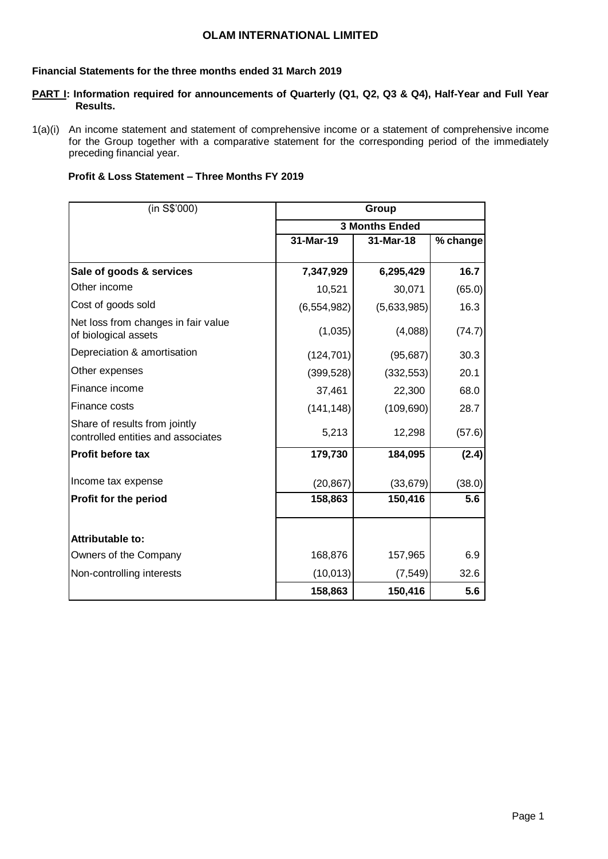# **OLAM INTERNATIONAL LIMITED**

### **Financial Statements for the three months ended 31 March 2019**

#### **PART I: Information required for announcements of Quarterly (Q1, Q2, Q3 & Q4), Half-Year and Full Year Results.**

1(a)(i) An income statement and statement of comprehensive income or a statement of comprehensive income for the Group together with a comparative statement for the corresponding period of the immediately preceding financial year.

## **Profit & Loss Statement – Three Months FY 2019**

| (in S\$'000)                                                        |               | Group                 |          |
|---------------------------------------------------------------------|---------------|-----------------------|----------|
|                                                                     |               | <b>3 Months Ended</b> |          |
|                                                                     | 31-Mar-19     | 31-Mar-18             | % change |
| Sale of goods & services                                            | 7,347,929     | 6,295,429             | 16.7     |
| Other income                                                        | 10,521        | 30,071                | (65.0)   |
| Cost of goods sold                                                  | (6, 554, 982) | (5,633,985)           | 16.3     |
| Net loss from changes in fair value<br>of biological assets         | (1,035)       | (4,088)               | (74.7)   |
| Depreciation & amortisation                                         | (124, 701)    | (95, 687)             | 30.3     |
| Other expenses                                                      | (399, 528)    | (332, 553)            | 20.1     |
| Finance income                                                      | 37,461        | 22,300                | 68.0     |
| Finance costs                                                       | (141, 148)    | (109, 690)            | 28.7     |
| Share of results from jointly<br>controlled entities and associates | 5,213         | 12,298                | (57.6)   |
| <b>Profit before tax</b>                                            | 179,730       | 184,095               | (2.4)    |
| Income tax expense                                                  | (20, 867)     | (33, 679)             | (38.0)   |
| <b>Profit for the period</b>                                        | 158,863       | 150,416               | 5.6      |
|                                                                     |               |                       |          |
| <b>Attributable to:</b>                                             |               |                       |          |
| Owners of the Company                                               | 168,876       | 157,965               | 6.9      |
| Non-controlling interests                                           | (10, 013)     | (7, 549)              | 32.6     |
|                                                                     | 158,863       | 150,416               | 5.6      |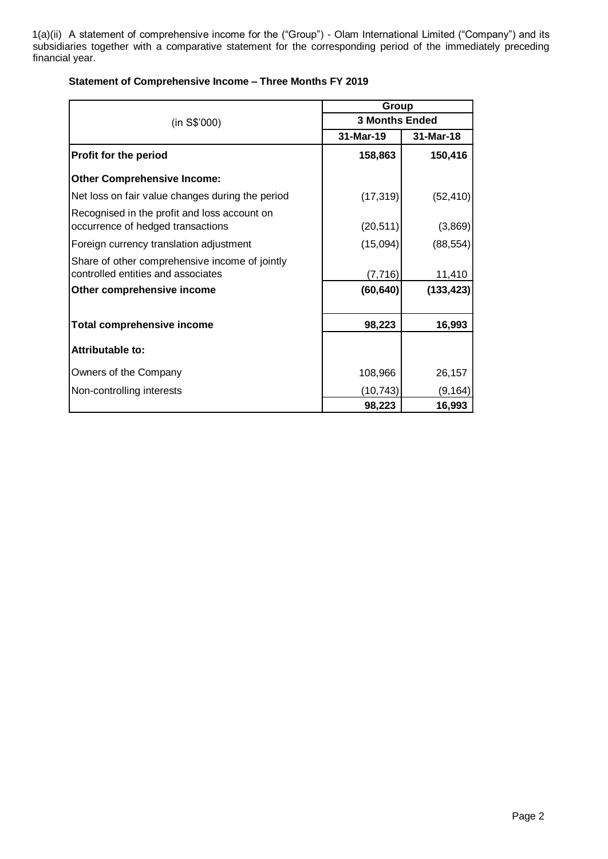1(a)(ii) A statement of comprehensive income for the ("Group") - Olam International Limited ("Company") and its subsidiaries together with a comparative statement for the corresponding period of the immediately preceding financial year.

|                                                                                      | Group                 |            |
|--------------------------------------------------------------------------------------|-----------------------|------------|
| (in S\$'000)                                                                         | <b>3 Months Ended</b> |            |
|                                                                                      | 31-Mar-19             | 31-Mar-18  |
| Profit for the period                                                                | 158,863               | 150,416    |
| <b>Other Comprehensive Income:</b>                                                   |                       |            |
| Net loss on fair value changes during the period                                     | (17, 319)             | (52, 410)  |
| Recognised in the profit and loss account on<br>occurrence of hedged transactions    | (20, 511)             | (3,869)    |
| Foreign currency translation adjustment                                              | (15,094)              | (88, 554)  |
| Share of other comprehensive income of jointly<br>controlled entities and associates | (7, 716)              | 11,410     |
| Other comprehensive income                                                           | (60, 640)             | (133, 423) |
| <b>Total comprehensive income</b>                                                    | 98,223                | 16,993     |
| Attributable to:                                                                     |                       |            |
| Owners of the Company                                                                | 108,966               | 26,157     |
| Non-controlling interests                                                            | (10, 743)             | (9, 164)   |
|                                                                                      | 98,223                | 16,993     |

## **Statement of Comprehensive Income – Three Months FY 2019**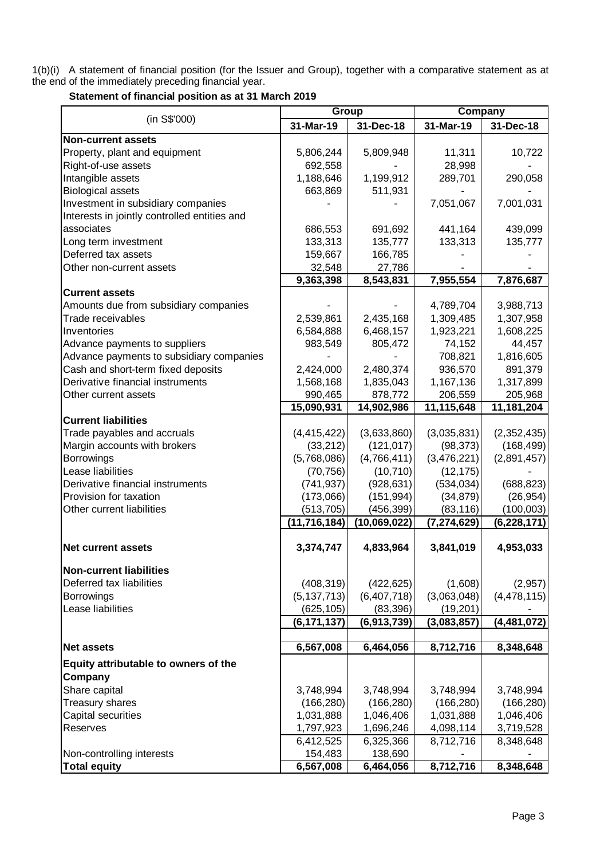1(b)(i) A statement of financial position (for the Issuer and Group), together with a comparative statement as at the end of the immediately preceding financial year.

# **Statement of financial position as at 31 March 2019**

|                                              | Group          |              | Company       |               |  |  |
|----------------------------------------------|----------------|--------------|---------------|---------------|--|--|
| (in S\$'000)                                 | 31-Mar-19      | 31-Dec-18    | 31-Mar-19     | 31-Dec-18     |  |  |
| <b>Non-current assets</b>                    |                |              |               |               |  |  |
| Property, plant and equipment                | 5,806,244      | 5,809,948    | 11,311        | 10,722        |  |  |
| Right-of-use assets                          | 692,558        |              | 28,998        |               |  |  |
| Intangible assets                            | 1,188,646      | 1,199,912    | 289,701       | 290,058       |  |  |
| <b>Biological assets</b>                     | 663,869        | 511,931      |               |               |  |  |
| Investment in subsidiary companies           |                |              | 7,051,067     | 7,001,031     |  |  |
| Interests in jointly controlled entities and |                |              |               |               |  |  |
| associates                                   | 686,553        | 691,692      | 441,164       | 439,099       |  |  |
| Long term investment                         | 133,313        | 135,777      | 133,313       | 135,777       |  |  |
| Deferred tax assets                          | 159,667        | 166,785      |               |               |  |  |
| Other non-current assets                     | 32,548         | 27,786       |               |               |  |  |
|                                              | 9,363,398      | 8,543,831    | 7,955,554     | 7,876,687     |  |  |
| <b>Current assets</b>                        |                |              |               |               |  |  |
| Amounts due from subsidiary companies        |                |              | 4,789,704     | 3,988,713     |  |  |
| Trade receivables                            | 2,539,861      | 2,435,168    | 1,309,485     | 1,307,958     |  |  |
| Inventories                                  | 6,584,888      | 6,468,157    | 1,923,221     | 1,608,225     |  |  |
| Advance payments to suppliers                | 983,549        | 805,472      | 74,152        | 44,457        |  |  |
| Advance payments to subsidiary companies     |                |              | 708,821       | 1,816,605     |  |  |
| Cash and short-term fixed deposits           | 2,424,000      | 2,480,374    | 936,570       | 891,379       |  |  |
| Derivative financial instruments             | 1,568,168      | 1,835,043    | 1,167,136     | 1,317,899     |  |  |
| Other current assets                         | 990,465        | 878,772      | 206,559       | 205,968       |  |  |
|                                              | 15,090,931     | 14,902,986   | 11,115,648    | 11,181,204    |  |  |
| <b>Current liabilities</b>                   |                |              |               |               |  |  |
| Trade payables and accruals                  | (4, 415, 422)  | (3,633,860)  | (3,035,831)   | (2,352,435)   |  |  |
| Margin accounts with brokers                 | (33, 212)      | (121, 017)   | (98, 373)     | (168, 499)    |  |  |
| Borrowings                                   | (5,768,086)    | (4,766,411)  | (3,476,221)   | (2,891,457)   |  |  |
| Lease liabilities                            | (70, 756)      | (10, 710)    | (12, 175)     |               |  |  |
| Derivative financial instruments             | (741, 937)     | (928, 631)   | (534, 034)    | (688, 823)    |  |  |
| Provision for taxation                       | (173,066)      | (151, 994)   | (34, 879)     | (26, 954)     |  |  |
| Other current liabilities                    | (513, 705)     | (456, 399)   | (83, 116)     | (100, 003)    |  |  |
|                                              | (11, 716, 184) | (10,069,022) | (7, 274, 629) | (6, 228, 171) |  |  |
|                                              |                |              |               |               |  |  |
| <b>Net current assets</b>                    | 3,374,747      | 4,833,964    | 3,841,019     | 4,953,033     |  |  |
| <b>Non-current liabilities</b>               |                |              |               |               |  |  |
| Deferred tax liabilities                     | (408, 319)     | (422, 625)   | (1,608)       | (2,957)       |  |  |
| <b>Borrowings</b>                            | (5, 137, 713)  | (6,407,718)  | (3,063,048)   | (4, 478, 115) |  |  |
| Lease liabilities                            | (625, 105)     | (83, 396)    | (19, 201)     |               |  |  |
|                                              | (6, 171, 137)  | (6,913,739)  | (3,083,857)   | (4,481,072)   |  |  |
|                                              |                |              |               |               |  |  |
| <b>Net assets</b>                            | 6,567,008      | 6,464,056    | 8,712,716     | 8,348,648     |  |  |
| Equity attributable to owners of the         |                |              |               |               |  |  |
| Company                                      |                |              |               |               |  |  |
| Share capital                                | 3,748,994      | 3,748,994    | 3,748,994     | 3,748,994     |  |  |
| <b>Treasury shares</b>                       | (166, 280)     | (166, 280)   | (166, 280)    | (166, 280)    |  |  |
| Capital securities                           | 1,031,888      | 1,046,406    | 1,031,888     | 1,046,406     |  |  |
| Reserves                                     | 1,797,923      | 1,696,246    | 4,098,114     | 3,719,528     |  |  |
|                                              | 6,412,525      | 6,325,366    | 8,712,716     | 8,348,648     |  |  |
| Non-controlling interests                    | 154,483        | 138,690      |               |               |  |  |
| <b>Total equity</b>                          | 6,567,008      | 6,464,056    | 8,712,716     | 8,348,648     |  |  |
|                                              |                |              |               |               |  |  |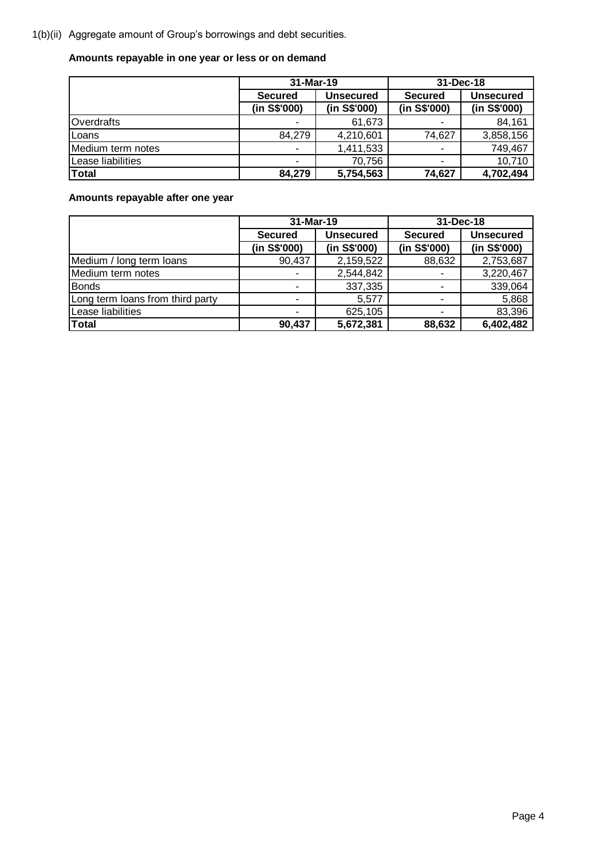1(b)(ii) Aggregate amount of Group's borrowings and debt securities.

# **Amounts repayable in one year or less or on demand**

|                   | 31-Mar-19      |              | 31-Dec-18      |                  |
|-------------------|----------------|--------------|----------------|------------------|
|                   | <b>Secured</b> | Unsecured    | <b>Secured</b> | <b>Unsecured</b> |
|                   | (in S\$'000)   | (in S\$'000) | (in S\$'000)   | (in S\$'000)     |
| Overdrafts        | ٠              | 61,673       |                | 84,161           |
| Loans             | 84,279         | 4,210,601    | 74,627         | 3,858,156        |
| Medium term notes | ٠              | 1,411,533    | ۰              | 749,467          |
| Lease liabilities | ٠              | 70,756       |                | 10,710           |
| Total             | 84,279         | 5,754,563    | 74,627         | 4,702,494        |

**Amounts repayable after one year**

|                                  | 31-Mar-19      |                  | 31-Dec-18      |                  |  |  |
|----------------------------------|----------------|------------------|----------------|------------------|--|--|
|                                  | <b>Secured</b> | <b>Unsecured</b> | <b>Secured</b> | <b>Unsecured</b> |  |  |
|                                  | (in S\$'000)   | (in S\$'000)     | (in S\$'000)   | (in S\$'000)     |  |  |
| Medium / long term loans         | 90,437         | 2,159,522        | 88,632         | 2,753,687        |  |  |
| Medium term notes                |                | 2,544,842        |                | 3,220,467        |  |  |
| <b>Bonds</b>                     |                | 337,335          | ٠              | 339,064          |  |  |
| Long term loans from third party |                | 5,577            | ۰              | 5,868            |  |  |
| Lease liabilities                |                | 625,105          |                | 83,396           |  |  |
| <b>Total</b>                     | 90,437         | 5,672,381        | 88,632         | 6,402,482        |  |  |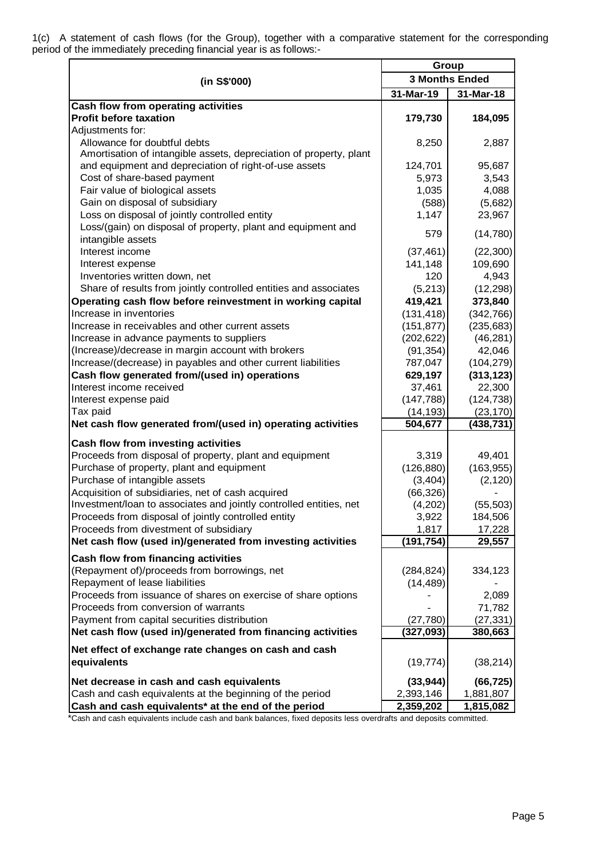|  |                                                                    |  |  | 1(c) A statement of cash flows (for the Group), together with a comparative statement for the corresponding |  |  |
|--|--------------------------------------------------------------------|--|--|-------------------------------------------------------------------------------------------------------------|--|--|
|  | period of the immediately preceding financial year is as follows:- |  |  |                                                                                                             |  |  |

|                                                                                                                             | Group      |                       |  |  |  |
|-----------------------------------------------------------------------------------------------------------------------------|------------|-----------------------|--|--|--|
| (in S\$'000)                                                                                                                |            | <b>3 Months Ended</b> |  |  |  |
|                                                                                                                             | 31-Mar-19  | 31-Mar-18             |  |  |  |
| Cash flow from operating activities                                                                                         |            |                       |  |  |  |
| <b>Profit before taxation</b>                                                                                               | 179,730    | 184,095               |  |  |  |
| Adjustments for:                                                                                                            |            |                       |  |  |  |
| Allowance for doubtful debts                                                                                                | 8,250      | 2,887                 |  |  |  |
| Amortisation of intangible assets, depreciation of property, plant<br>and equipment and depreciation of right-of-use assets | 124,701    |                       |  |  |  |
|                                                                                                                             |            | 95,687                |  |  |  |
| Cost of share-based payment<br>Fair value of biological assets                                                              | 5,973      | 3,543                 |  |  |  |
| Gain on disposal of subsidiary                                                                                              | 1,035      | 4,088                 |  |  |  |
|                                                                                                                             | (588)      | (5,682)               |  |  |  |
| Loss on disposal of jointly controlled entity                                                                               | 1,147      | 23,967                |  |  |  |
| Loss/(gain) on disposal of property, plant and equipment and<br>intangible assets                                           | 579        | (14, 780)             |  |  |  |
| Interest income                                                                                                             | (37, 461)  | (22, 300)             |  |  |  |
| Interest expense                                                                                                            | 141,148    | 109,690               |  |  |  |
| Inventories written down, net                                                                                               | 120        | 4,943                 |  |  |  |
| Share of results from jointly controlled entities and associates                                                            | (5, 213)   | (12, 298)             |  |  |  |
| Operating cash flow before reinvestment in working capital                                                                  | 419,421    | 373,840               |  |  |  |
| Increase in inventories                                                                                                     | (131, 418) | (342, 766)            |  |  |  |
| Increase in receivables and other current assets                                                                            | (151, 877) | (235, 683)            |  |  |  |
| Increase in advance payments to suppliers                                                                                   | (202, 622) | (46, 281)             |  |  |  |
| (Increase)/decrease in margin account with brokers                                                                          | (91, 354)  | 42,046                |  |  |  |
| Increase/(decrease) in payables and other current liabilities                                                               | 787,047    | (104, 279)            |  |  |  |
| Cash flow generated from/(used in) operations                                                                               | 629,197    | (313, 123)            |  |  |  |
| Interest income received                                                                                                    | 37,461     | 22,300                |  |  |  |
| Interest expense paid                                                                                                       | (147, 788) | (124, 738)            |  |  |  |
| Tax paid                                                                                                                    | (14, 193)  | (23, 170)             |  |  |  |
| Net cash flow generated from/(used in) operating activities                                                                 | 504,677    | (438, 731)            |  |  |  |
| Cash flow from investing activities                                                                                         |            |                       |  |  |  |
| Proceeds from disposal of property, plant and equipment                                                                     | 3,319      | 49,401                |  |  |  |
| Purchase of property, plant and equipment                                                                                   | (126, 880) | (163, 955)            |  |  |  |
| Purchase of intangible assets                                                                                               | (3, 404)   | (2, 120)              |  |  |  |
| Acquisition of subsidiaries, net of cash acquired                                                                           | (66, 326)  |                       |  |  |  |
| Investment/loan to associates and jointly controlled entities, net                                                          | (4,202)    | (55, 503)             |  |  |  |
| Proceeds from disposal of jointly controlled entity                                                                         | 3,922      | 184,506               |  |  |  |
| Proceeds from divestment of subsidiary                                                                                      | 1,817      | 17,228                |  |  |  |
| Net cash flow (used in)/generated from investing activities                                                                 | (191,754)  | 29,557                |  |  |  |
| Cash flow from financing activities                                                                                         |            |                       |  |  |  |
| (Repayment of)/proceeds from borrowings, net                                                                                | (284, 824) | 334,123               |  |  |  |
| Repayment of lease liabilities                                                                                              | (14, 489)  |                       |  |  |  |
| Proceeds from issuance of shares on exercise of share options                                                               |            | 2,089                 |  |  |  |
| Proceeds from conversion of warrants                                                                                        |            | 71,782                |  |  |  |
| Payment from capital securities distribution                                                                                | (27, 780)  | (27, 331)             |  |  |  |
| Net cash flow (used in)/generated from financing activities                                                                 | (327, 093) | 380,663               |  |  |  |
| Net effect of exchange rate changes on cash and cash                                                                        |            |                       |  |  |  |
| equivalents                                                                                                                 | (19, 774)  | (38, 214)             |  |  |  |
| Net decrease in cash and cash equivalents                                                                                   | (33, 944)  | (66, 725)             |  |  |  |
| Cash and cash equivalents at the beginning of the period                                                                    | 2,393,146  | 1,881,807             |  |  |  |
| Cash and cash equivalents* at the end of the period                                                                         | 2,359,202  | 1,815,082             |  |  |  |

\*Cash and cash equivalents include cash and bank balances, fixed deposits less overdrafts and deposits committed.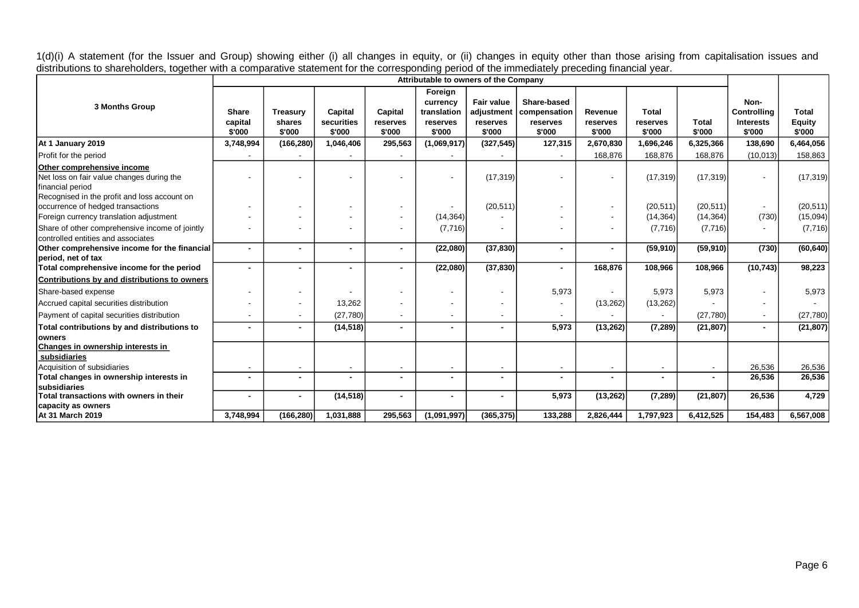1(d)(i) A statement (for the Issuer and Group) showing either (i) all changes in equity, or (ii) changes in equity other than those arising from capitalisation issues and distributions to shareholders, together with a comparative statement for the corresponding period of the immediately preceding financial year.

|                                                |                |                 |            |                          | Attributable to owners of the Company |            |              |                          |              |           |                  |               |
|------------------------------------------------|----------------|-----------------|------------|--------------------------|---------------------------------------|------------|--------------|--------------------------|--------------|-----------|------------------|---------------|
|                                                |                |                 |            |                          | Foreign                               |            |              |                          |              |           |                  |               |
|                                                |                |                 |            |                          | currency                              | Fair value | Share-based  |                          |              |           | Non-             |               |
| <b>3 Months Group</b>                          | Share          | <b>Treasurv</b> | Capital    | Capital                  | translation                           | adjustment | compensation | Revenue                  | <b>Total</b> |           | Controlling      | <b>Total</b>  |
|                                                | capital        | shares          | securities | reserves                 | reserves                              | reserves   | reserves     | reserves                 | reserves     | Total     | <b>Interests</b> | <b>Equity</b> |
|                                                | \$'000         | \$'000          | \$'000     | \$'000                   | \$'000                                | \$'000     | \$'000       | \$'000                   | \$'000       | \$'000    | \$'000           | \$'000        |
| At 1 January 2019                              | 3,748,994      | (166, 280)      | 1,046,406  | 295,563                  | (1,069,917)                           | (327, 545) | 127,315      | 2,670,830                | 1,696,246    | 6,325,366 | 138,690          | 6,464,056     |
| Profit for the period                          |                |                 |            |                          |                                       |            |              | 168,876                  | 168,876      | 168,876   | (10,013)         | 158,863       |
| Other comprehensive income                     |                |                 |            |                          |                                       |            |              |                          |              |           |                  |               |
| Net loss on fair value changes during the      |                |                 |            |                          |                                       | (17, 319)  |              |                          | (17, 319)    | (17, 319) |                  | (17, 319)     |
| financial period                               |                |                 |            |                          |                                       |            |              |                          |              |           |                  |               |
| Recognised in the profit and loss account on   |                |                 |            |                          |                                       |            |              |                          |              |           |                  |               |
| occurrence of hedged transactions              |                |                 |            |                          |                                       | (20, 511)  |              |                          | (20, 511)    | (20, 511) |                  | (20, 511)     |
| Foreign currency translation adjustment        |                |                 |            | $\overline{\phantom{a}}$ | (14, 364)                             |            |              |                          | (14, 364)    | (14, 364) | (730)            | (15,094)      |
| Share of other comprehensive income of jointly |                |                 |            | $\overline{\phantom{a}}$ | (7,716)                               |            |              | $\overline{\phantom{a}}$ | (7,716)      | (7,716)   |                  | (7, 716)      |
| controlled entities and associates             |                |                 |            |                          |                                       |            |              |                          |              |           |                  |               |
| Other comprehensive income for the financial   | ٠              | $\blacksquare$  |            | $\blacksquare$           | (22,080)                              | (37, 830)  |              | $\blacksquare$           | (59, 910)    | (59, 910) | (730)            | (60, 640)     |
| period, net of tax                             |                |                 |            |                          |                                       |            |              |                          |              |           |                  |               |
| Total comprehensive income for the period      | $\blacksquare$ |                 |            |                          | (22,080)                              | (37, 830)  |              | 168,876                  | 108,966      | 108,966   | (10, 743)        | 98,223        |
| Contributions by and distributions to owners   |                |                 |            |                          |                                       |            |              |                          |              |           |                  |               |
| Share-based expense                            |                |                 |            | $\overline{\phantom{a}}$ |                                       |            | 5,973        |                          | 5,973        | 5,973     |                  | 5,973         |
| Accrued capital securities distribution        |                |                 | 13,262     |                          |                                       |            |              | (13, 262)                | (13,262)     |           |                  |               |
| Payment of capital securities distribution     |                |                 | (27, 780)  |                          |                                       |            |              |                          |              | (27,780)  |                  | (27, 780)     |
| Total contributions by and distributions to    | $\blacksquare$ |                 | (14, 518)  | $\overline{\phantom{a}}$ |                                       |            | 5,973        | (13, 262)                | (7, 289)     | (21, 807) |                  | (21, 807)     |
| <b>lowners</b>                                 |                |                 |            |                          |                                       |            |              |                          |              |           |                  |               |
| Changes in ownership interests in              |                |                 |            |                          |                                       |            |              |                          |              |           |                  |               |
| subsidiaries                                   |                |                 |            |                          |                                       |            |              |                          |              |           |                  |               |
| Acquisition of subsidiaries                    |                |                 |            |                          |                                       |            |              |                          |              |           | 26,536           | 26,536        |
| Total changes in ownership interests in        | $\blacksquare$ |                 |            | ٠                        |                                       |            |              | $\blacksquare$           |              |           | 26,536           | 26,536        |
| subsidiaries                                   |                |                 |            |                          |                                       |            |              |                          |              |           |                  |               |
| Total transactions with owners in their        | $\blacksquare$ | $\blacksquare$  | (14, 518)  | $\blacksquare$           |                                       |            | 5,973        | (13, 262)                | (7, 289)     | (21, 807) | 26,536           | 4,729         |
| capacity as owners<br>At 31 March 2019         | 3,748,994      | (166, 280)      | 1,031,888  | 295,563                  | (1,091,997)                           | (365, 375) | 133,288      | 2,826,444                | 1,797,923    | 6,412,525 | 154,483          | 6,567,008     |
|                                                |                |                 |            |                          |                                       |            |              |                          |              |           |                  |               |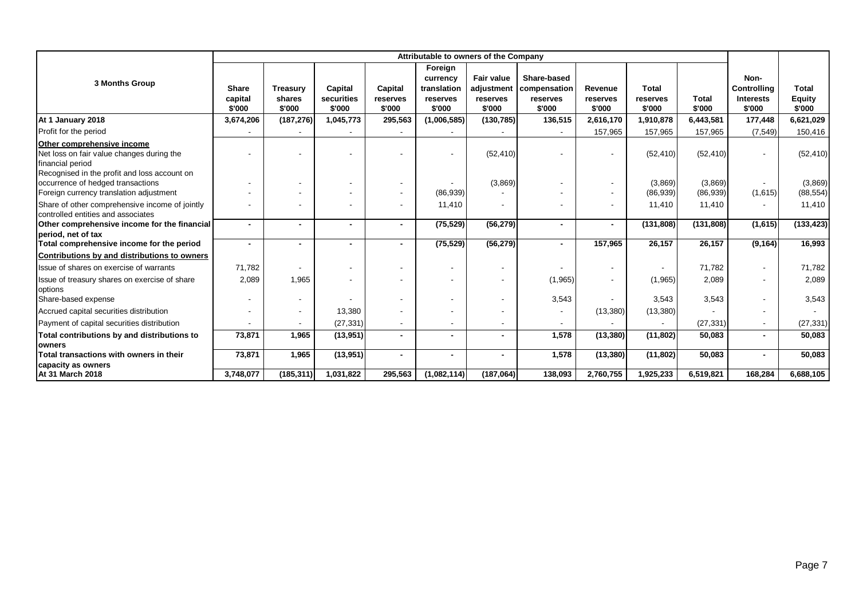|                                                                                                               |                                   |                                     |                                 |                               | Attributable to owners of the Company                    |                                                       |                                                   |                               |                             |                 |                                                   |                                  |
|---------------------------------------------------------------------------------------------------------------|-----------------------------------|-------------------------------------|---------------------------------|-------------------------------|----------------------------------------------------------|-------------------------------------------------------|---------------------------------------------------|-------------------------------|-----------------------------|-----------------|---------------------------------------------------|----------------------------------|
| 3 Months Group                                                                                                | <b>Share</b><br>capital<br>\$'000 | <b>Treasury</b><br>shares<br>\$'000 | Capital<br>securities<br>\$'000 | Capital<br>reserves<br>\$'000 | Foreign<br>currency<br>translation<br>reserves<br>\$'000 | <b>Fair value</b><br>adjustment<br>reserves<br>\$'000 | Share-based<br>compensation<br>reserves<br>\$'000 | Revenue<br>reserves<br>\$'000 | Total<br>reserves<br>\$'000 | Total<br>\$'000 | Non-<br>Controlling<br><b>Interests</b><br>\$'000 | Total<br><b>Equity</b><br>\$'000 |
| At 1 January 2018                                                                                             | 3,674,206                         | (187, 276)                          | 1,045,773                       | 295,563                       | (1,006,585)                                              | (130, 785)                                            | 136,515                                           | 2,616,170                     | 1,910,878                   | 6,443,581       | 177,448                                           | 6,621,029                        |
| Profit for the period                                                                                         |                                   |                                     |                                 |                               |                                                          |                                                       |                                                   | 157,965                       | 157,965                     | 157,965         | (7, 549)                                          | 150,416                          |
| Other comprehensive income                                                                                    |                                   |                                     |                                 |                               |                                                          |                                                       |                                                   |                               |                             |                 |                                                   |                                  |
| Net loss on fair value changes during the<br>financial period<br>Recognised in the profit and loss account on |                                   |                                     |                                 |                               |                                                          | (52, 410)                                             |                                                   | $\overline{\phantom{a}}$      | (52, 410)                   | (52, 410)       |                                                   | (52, 410)                        |
| occurrence of hedged transactions                                                                             |                                   |                                     |                                 |                               |                                                          | (3,869)                                               |                                                   |                               | (3,869)                     | (3,869)         |                                                   | (3,869)                          |
| Foreign currency translation adjustment                                                                       |                                   |                                     |                                 |                               | (86,939)                                                 |                                                       |                                                   |                               | (86,939)                    | (86,939)        | (1,615)                                           | (88, 554)                        |
| Share of other comprehensive income of jointly<br>controlled entities and associates                          |                                   |                                     |                                 | $\blacksquare$                | 11,410                                                   | $\overline{\phantom{a}}$                              |                                                   |                               | 11,410                      | 11,410          |                                                   | 11,410                           |
| Other comprehensive income for the financial<br>period, net of tax                                            | $\blacksquare$                    |                                     |                                 | $\blacksquare$                | (75, 529)                                                | (56, 279)                                             |                                                   | $\sim$                        | (131, 808)                  | (131, 808)      | (1,615)                                           | (133, 423)                       |
| Total comprehensive income for the period                                                                     | $\blacksquare$                    |                                     |                                 |                               | (75, 529)                                                | (56, 279)                                             |                                                   | 157,965                       | 26,157                      | 26,157          | (9, 164)                                          | 16,993                           |
| Contributions by and distributions to owners                                                                  |                                   |                                     |                                 |                               |                                                          |                                                       |                                                   |                               |                             |                 |                                                   |                                  |
| Ilssue of shares on exercise of warrants                                                                      | 71,782                            |                                     |                                 | $\blacksquare$                |                                                          |                                                       |                                                   | $\overline{\phantom{a}}$      |                             | 71,782          | $\overline{\phantom{a}}$                          | 71,782                           |
| Issue of treasury shares on exercise of share<br>options                                                      | 2,089                             | 1,965                               |                                 |                               |                                                          |                                                       | (1,965)                                           | $\overline{\phantom{a}}$      | (1,965)                     | 2,089           |                                                   | 2,089                            |
| Share-based expense                                                                                           | $\blacksquare$                    |                                     |                                 | $\blacksquare$                |                                                          |                                                       | 3,543                                             |                               | 3,543                       | 3,543           |                                                   | 3,543                            |
| Accrued capital securities distribution                                                                       | $\blacksquare$                    |                                     | 13,380                          | $\overline{\phantom{a}}$      |                                                          | $\overline{\phantom{a}}$                              |                                                   | (13, 380)                     | (13,380)                    |                 |                                                   |                                  |
| Payment of capital securities distribution                                                                    |                                   |                                     | (27, 331)                       | $\blacksquare$                |                                                          | $\overline{\phantom{a}}$                              |                                                   |                               |                             | (27, 331)       |                                                   | (27, 331)                        |
| Total contributions by and distributions to                                                                   | 73,871                            | 1,965                               | (13,951)                        | $\blacksquare$                |                                                          |                                                       | 1,578                                             | (13, 380)                     | (11, 802)                   | 50,083          | $\blacksquare$                                    | 50,083                           |
| <b>lowners</b>                                                                                                |                                   |                                     |                                 |                               |                                                          |                                                       |                                                   |                               |                             |                 |                                                   |                                  |
| Total transactions with owners in their                                                                       | 73,871                            | 1,965                               | (13,951)                        | $\blacksquare$                |                                                          |                                                       | 1,578                                             | (13, 380)                     | (11, 802)                   | 50,083          |                                                   | 50,083                           |
| capacity as owners<br>At 31 March 2018                                                                        | 3,748,077                         | (185, 311)                          | 1,031,822                       | 295,563                       | (1,082,114)                                              | (187,064)                                             | 138,093                                           | 2,760,755                     | 1,925,233                   | 6,519,821       | 168,284                                           | 6,688,105                        |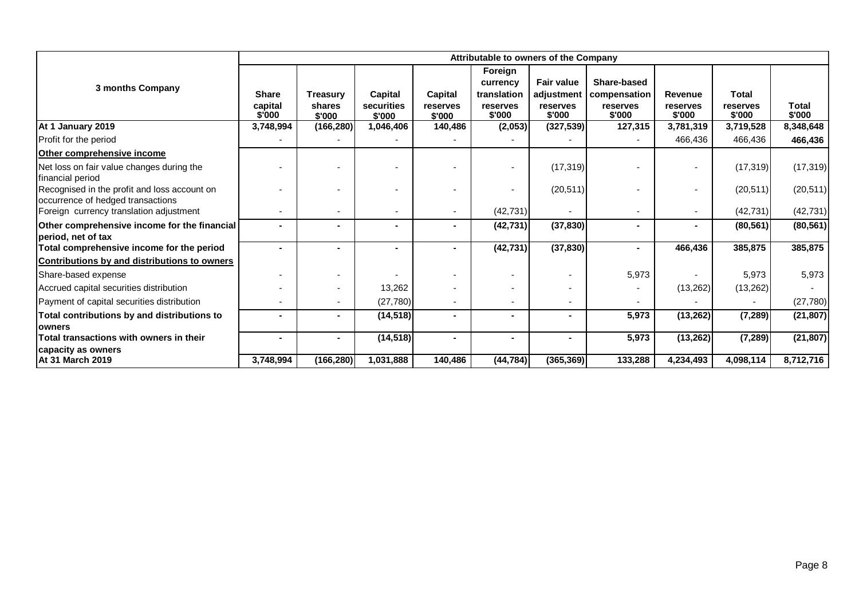|                                                                                   |                                   |                           |                       |                     | Attributable to owners of the Company          |                                             |                                         |                          |                          |                        |
|-----------------------------------------------------------------------------------|-----------------------------------|---------------------------|-----------------------|---------------------|------------------------------------------------|---------------------------------------------|-----------------------------------------|--------------------------|--------------------------|------------------------|
| 3 months Company                                                                  | <b>Share</b><br>capital<br>\$'000 | <b>Treasury</b><br>shares | Capital<br>securities | Capital<br>reserves | Foreign<br>currency<br>translation<br>reserves | <b>Fair value</b><br>adjustment<br>reserves | Share-based<br>compensation<br>reserves | Revenue<br>reserves      | <b>Total</b><br>reserves | <b>Total</b><br>\$'000 |
| At 1 January 2019                                                                 | 3,748,994                         | \$'000<br>(166, 280)      | \$'000<br>1,046,406   | \$'000<br>140,486   | \$'000<br>(2,053)                              | \$'000<br>(327, 539)                        | \$'000<br>127,315                       | \$'000<br>3,781,319      | \$'000<br>3,719,528      | 8,348,648              |
| Profit for the period                                                             |                                   |                           |                       |                     |                                                |                                             |                                         | 466,436                  | 466,436                  | 466,436                |
| Other comprehensive income                                                        |                                   |                           |                       |                     |                                                |                                             |                                         |                          |                          |                        |
| Net loss on fair value changes during the<br>financial period                     |                                   |                           |                       |                     |                                                | (17, 319)                                   |                                         |                          | (17, 319)                | (17, 319)              |
| Recognised in the profit and loss account on<br>occurrence of hedged transactions |                                   |                           |                       |                     |                                                | (20, 511)                                   |                                         |                          | (20, 511)                | (20, 511)              |
| Foreign currency translation adjustment                                           |                                   | $\overline{a}$            |                       |                     | (42, 731)                                      | $\overline{a}$                              |                                         | $\overline{\phantom{0}}$ | (42, 731)                | (42, 731)              |
| Other comprehensive income for the financial<br>period, net of tax                |                                   |                           | $\blacksquare$        |                     | (42, 731)                                      | (37, 830)                                   |                                         | ۰.                       | (80, 561)                | (80, 561)              |
| Total comprehensive income for the period                                         |                                   |                           | $\blacksquare$        |                     | (42, 731)                                      | (37, 830)                                   |                                         | 466,436                  | 385,875                  | 385,875                |
| Contributions by and distributions to owners                                      |                                   |                           |                       |                     |                                                |                                             |                                         |                          |                          |                        |
| Share-based expense                                                               |                                   |                           |                       |                     |                                                | $\overline{\phantom{0}}$                    | 5,973                                   |                          | 5,973                    | 5,973                  |
| Accrued capital securities distribution                                           |                                   |                           | 13,262                |                     |                                                |                                             |                                         | (13, 262)                | (13, 262)                |                        |
| Payment of capital securities distribution                                        |                                   |                           | (27,780)              |                     |                                                | $\blacksquare$                              |                                         |                          |                          | (27, 780)              |
| Total contributions by and distributions to<br>owners                             |                                   |                           | (14, 518)             |                     |                                                | $\blacksquare$                              | 5,973                                   | (13, 262)                | (7, 289)                 | (21, 807)              |
| Total transactions with owners in their                                           | $\blacksquare$                    |                           | (14, 518)             | $\blacksquare$      |                                                | ۰                                           | 5,973                                   | (13, 262)                | (7, 289)                 | (21, 807)              |
| capacity as owners<br><b>At 31 March 2019</b>                                     | 3,748,994                         | (166, 280)                | 1,031,888             | 140,486             | (44, 784)                                      | (365, 369)                                  | 133,288                                 | 4,234,493                | 4,098,114                | 8,712,716              |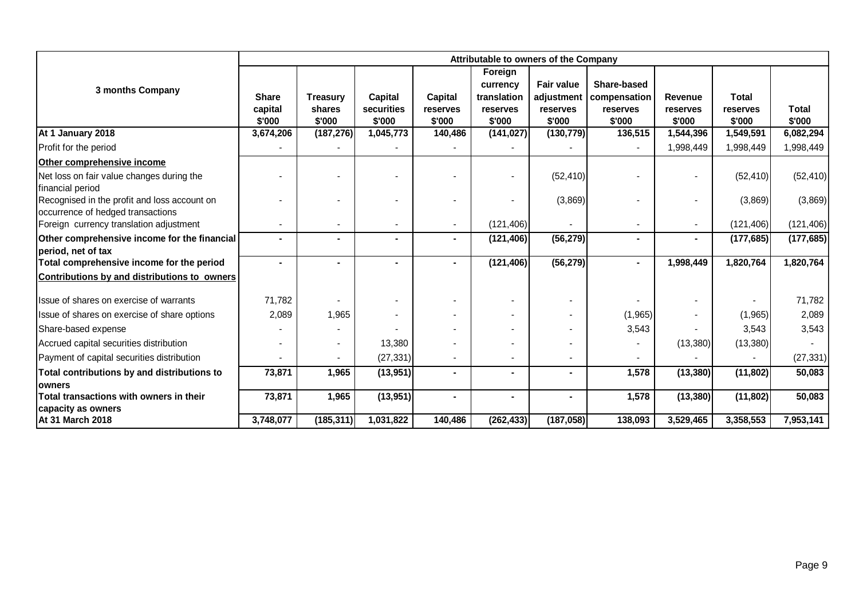|                                                                                   |                   |                      |                     |                   | Attributable to owners of the Company |                      |                    |                     |                     |                     |
|-----------------------------------------------------------------------------------|-------------------|----------------------|---------------------|-------------------|---------------------------------------|----------------------|--------------------|---------------------|---------------------|---------------------|
|                                                                                   |                   |                      |                     |                   | Foreign                               |                      |                    |                     |                     |                     |
| 3 months Company                                                                  |                   |                      |                     |                   | currency                              | <b>Fair value</b>    | <b>Share-based</b> |                     |                     |                     |
|                                                                                   | <b>Share</b>      | <b>Treasury</b>      | Capital             | <b>Capital</b>    | translation                           | adjustment           | compensation       | <b>Revenue</b>      | <b>Total</b>        |                     |
|                                                                                   | capital<br>\$'000 | shares               | securities          | reserves          | reserves                              | reserves             | reserves           | reserves            | reserves            | <b>Total</b>        |
| At 1 January 2018                                                                 | 3,674,206         | \$'000<br>(187, 276) | \$'000<br>1,045,773 | \$'000<br>140,486 | \$'000<br>(141, 027)                  | \$'000<br>(130, 779) | \$'000<br>136,515  | \$'000<br>1,544,396 | \$'000<br>1,549,591 | \$'000<br>6,082,294 |
| Profit for the period                                                             |                   |                      |                     |                   |                                       |                      |                    | 1,998,449           | 1,998,449           | 1,998,449           |
| Other comprehensive income                                                        |                   |                      |                     |                   |                                       |                      |                    |                     |                     |                     |
| Net loss on fair value changes during the<br>financial period                     |                   |                      |                     |                   |                                       | (52, 410)            |                    |                     | (52, 410)           | (52, 410)           |
| Recognised in the profit and loss account on<br>occurrence of hedged transactions |                   |                      |                     |                   |                                       | (3,869)              |                    | $\blacksquare$      | (3,869)             | (3,869)             |
| Foreign currency translation adjustment                                           |                   |                      |                     |                   | (121, 406)                            | $\blacksquare$       |                    | $\blacksquare$      | (121, 406)          | (121, 406)          |
| Other comprehensive income for the financial                                      |                   |                      | $\sim$              |                   | (121, 406)                            | (56, 279)            |                    | $\sim$              | (177, 685)          | (177, 685)          |
| period, net of tax                                                                |                   |                      |                     |                   |                                       |                      |                    |                     |                     |                     |
| Total comprehensive income for the period                                         |                   |                      |                     |                   | (121, 406)                            | (56, 279)            |                    | 1,998,449           | 1,820,764           | 1,820,764           |
| Contributions by and distributions to owners                                      |                   |                      |                     |                   |                                       |                      |                    |                     |                     |                     |
| Ilssue of shares on exercise of warrants                                          | 71,782            |                      |                     |                   |                                       |                      |                    |                     |                     | 71,782              |
| Issue of shares on exercise of share options                                      | 2,089             | 1,965                |                     |                   |                                       |                      | (1,965)            |                     | (1,965)             | 2,089               |
| Share-based expense                                                               |                   |                      |                     |                   |                                       |                      | 3,543              |                     | 3,543               | 3,543               |
| Accrued capital securities distribution                                           |                   |                      | 13,380              |                   |                                       |                      |                    | (13, 380)           | (13, 380)           |                     |
| Payment of capital securities distribution                                        |                   |                      | (27, 331)           |                   |                                       |                      |                    |                     |                     | (27, 331)           |
| Total contributions by and distributions to                                       | 73,871            | 1,965                | (13,951)            |                   |                                       | $\blacksquare$       | 1,578              | (13, 380)           | (11, 802)           | 50,083              |
| <b>lowners</b>                                                                    |                   |                      |                     |                   |                                       |                      |                    |                     |                     |                     |
| Total transactions with owners in their                                           | 73,871            | 1,965                | (13,951)            |                   |                                       | ٠                    | 1,578              | (13, 380)           | (11, 802)           | 50,083              |
| capacity as owners<br>At 31 March 2018                                            | 3,748,077         | (185, 311)           | 1,031,822           | 140,486           | (262, 433)                            | (187, 058)           | 138,093            | 3,529,465           | 3,358,553           | 7,953,141           |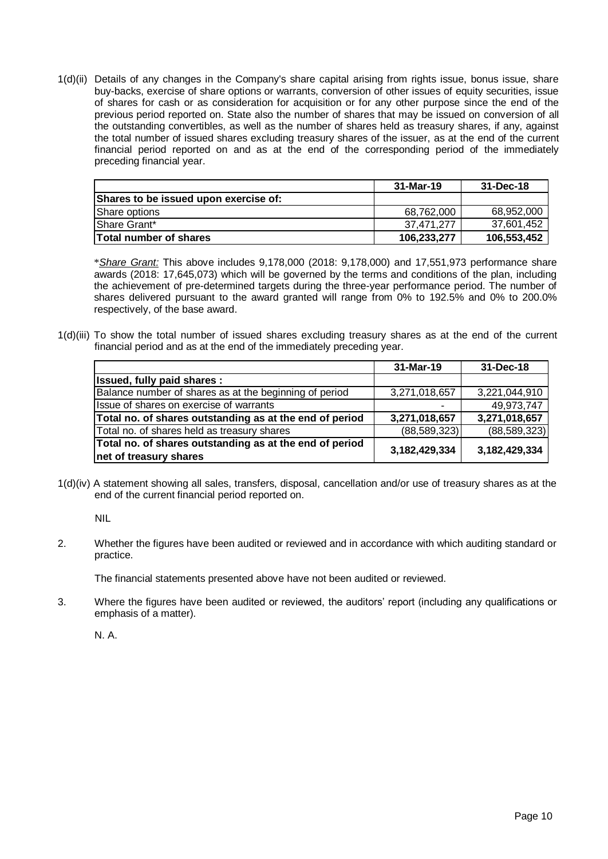1(d)(ii) Details of any changes in the Company's share capital arising from rights issue, bonus issue, share buy-backs, exercise of share options or warrants, conversion of other issues of equity securities, issue of shares for cash or as consideration for acquisition or for any other purpose since the end of the previous period reported on. State also the number of shares that may be issued on conversion of all the outstanding convertibles, as well as the number of shares held as treasury shares, if any, against the total number of issued shares excluding treasury shares of the issuer, as at the end of the current financial period reported on and as at the end of the corresponding period of the immediately preceding financial year.

|                                       | 31-Mar-19   | 31-Dec-18   |
|---------------------------------------|-------------|-------------|
| Shares to be issued upon exercise of: |             |             |
| Share options                         | 68,762,000  | 68,952,000  |
| Share Grant*                          | 37.471.277  | 37,601,452  |
| lTotal number of shares               | 106,233,277 | 106,553,452 |

\**Share Grant:* This above includes 9,178,000 (2018: 9,178,000) and 17,551,973 performance share awards (2018: 17,645,073) which will be governed by the terms and conditions of the plan, including the achievement of pre-determined targets during the three-year performance period. The number of shares delivered pursuant to the award granted will range from 0% to 192.5% and 0% to 200.0% respectively, of the base award.

1(d)(iii) To show the total number of issued shares excluding treasury shares as at the end of the current financial period and as at the end of the immediately preceding year.

|                                                                                   | 31-Mar-19        | 31-Dec-18      |
|-----------------------------------------------------------------------------------|------------------|----------------|
| <b>Issued, fully paid shares:</b>                                                 |                  |                |
| Balance number of shares as at the beginning of period                            | 3,271,018,657    | 3,221,044,910  |
| Issue of shares on exercise of warrants                                           |                  | 49,973,747     |
| Total no. of shares outstanding as at the end of period                           | 3,271,018,657    | 3,271,018,657  |
| Total no. of shares held as treasury shares                                       | (88, 589, 323)   | (88, 589, 323) |
| Total no. of shares outstanding as at the end of period<br>net of treasury shares | 3, 182, 429, 334 | 3,182,429,334  |

1(d)(iv) A statement showing all sales, transfers, disposal, cancellation and/or use of treasury shares as at the end of the current financial period reported on.

NIL

2. Whether the figures have been audited or reviewed and in accordance with which auditing standard or practice.

The financial statements presented above have not been audited or reviewed.

3. Where the figures have been audited or reviewed, the auditors' report (including any qualifications or emphasis of a matter).

N. A.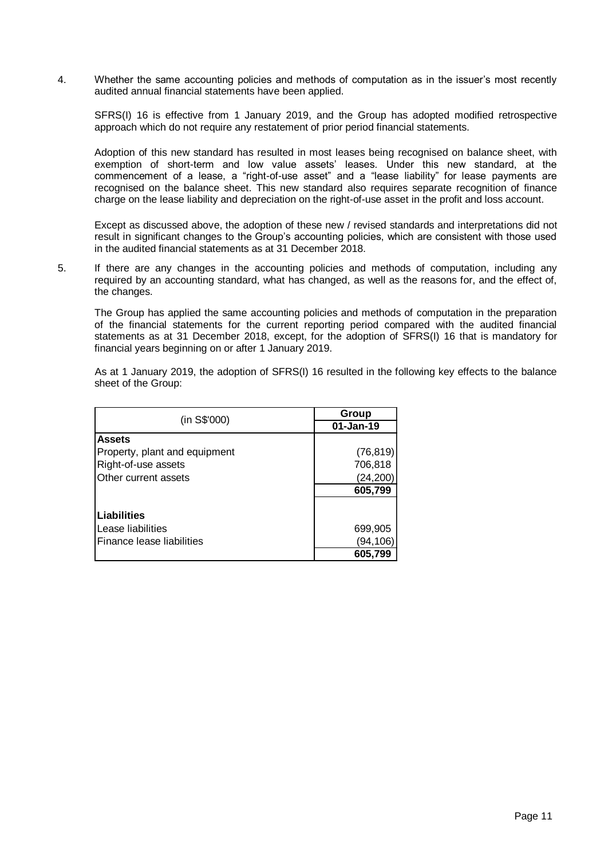4. Whether the same accounting policies and methods of computation as in the issuer's most recently audited annual financial statements have been applied.

SFRS(I) 16 is effective from 1 January 2019, and the Group has adopted modified retrospective approach which do not require any restatement of prior period financial statements.

Adoption of this new standard has resulted in most leases being recognised on balance sheet, with exemption of short-term and low value assets' leases. Under this new standard, at the commencement of a lease, a "right-of-use asset" and a "lease liability" for lease payments are recognised on the balance sheet. This new standard also requires separate recognition of finance charge on the lease liability and depreciation on the right-of-use asset in the profit and loss account.

Except as discussed above, the adoption of these new / revised standards and interpretations did not result in significant changes to the Group's accounting policies, which are consistent with those used in the audited financial statements as at 31 December 2018.

5. If there are any changes in the accounting policies and methods of computation, including any required by an accounting standard, what has changed, as well as the reasons for, and the effect of, the changes.

The Group has applied the same accounting policies and methods of computation in the preparation of the financial statements for the current reporting period compared with the audited financial statements as at 31 December 2018, except, for the adoption of SFRS(I) 16 that is mandatory for financial years beginning on or after 1 January 2019.

 As at 1 January 2019, the adoption of SFRS(I) 16 resulted in the following key effects to the balance sheet of the Group:

| (in S\$'000)                  | Group     |
|-------------------------------|-----------|
|                               | 01-Jan-19 |
| <b>Assets</b>                 |           |
| Property, plant and equipment | (76, 819) |
| Right-of-use assets           | 706,818   |
| Other current assets          | (24,200)  |
|                               | 605,799   |
| <b>Liabilities</b>            |           |
| Lease liabilities             | 699,905   |
| Finance lease liabilities     | (94,106)  |
|                               | 605,799   |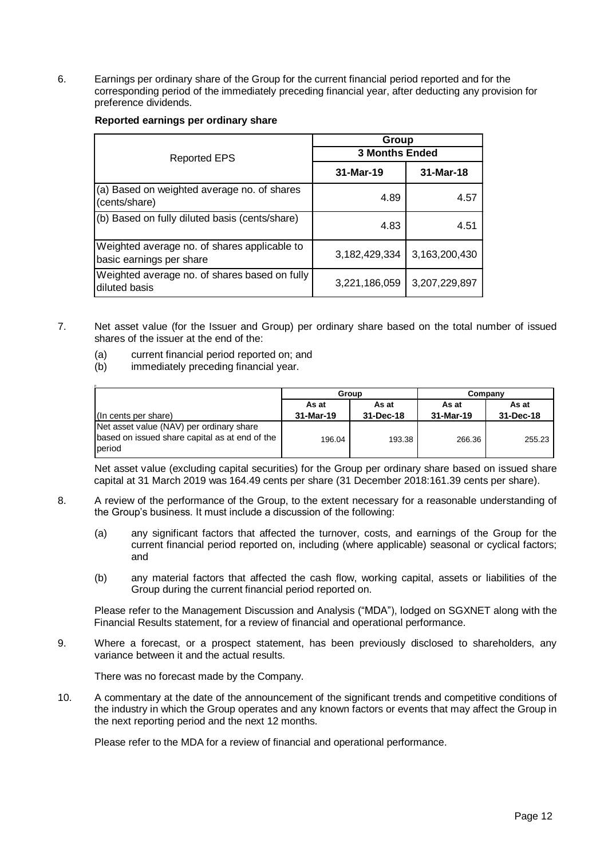6. Earnings per ordinary share of the Group for the current financial period reported and for the corresponding period of the immediately preceding financial year, after deducting any provision for preference dividends.

|                                                                          | Group                 |               |  |
|--------------------------------------------------------------------------|-----------------------|---------------|--|
| <b>Reported EPS</b>                                                      | <b>3 Months Ended</b> |               |  |
|                                                                          | 31-Mar-19             | 31-Mar-18     |  |
| (a) Based on weighted average no. of shares<br>(cents/share)             | 4.89                  | 4.57          |  |
| (b) Based on fully diluted basis (cents/share)                           | 4.83                  | 4.51          |  |
| Weighted average no. of shares applicable to<br>basic earnings per share | 3,182,429,334         | 3,163,200,430 |  |
| Weighted average no. of shares based on fully<br>diluted basis           | 3,221,186,059         | 3,207,229,897 |  |

#### **Reported earnings per ordinary share**

- 7. Net asset value (for the Issuer and Group) per ordinary share based on the total number of issued shares of the issuer at the end of the:
	- (a) current financial period reported on; and
	- (b) immediately preceding financial year.

|                                                | Group     |           | Company   |           |
|------------------------------------------------|-----------|-----------|-----------|-----------|
|                                                | As at     | As at     | As at     | As at     |
| (In cents per share)                           | 31-Mar-19 | 31-Dec-18 | 31-Mar-19 | 31-Dec-18 |
| Net asset value (NAV) per ordinary share       |           |           |           |           |
| based on issued share capital as at end of the | 196.04    | 193.38    | 266.36    | 255.23    |
| period                                         |           |           |           |           |

Net asset value (excluding capital securities) for the Group per ordinary share based on issued share capital at 31 March 2019 was 164.49 cents per share (31 December 2018:161.39 cents per share).

- 8. A review of the performance of the Group, to the extent necessary for a reasonable understanding of the Group's business. It must include a discussion of the following:
	- (a) any significant factors that affected the turnover, costs, and earnings of the Group for the current financial period reported on, including (where applicable) seasonal or cyclical factors; and
	- (b) any material factors that affected the cash flow, working capital, assets or liabilities of the Group during the current financial period reported on.

Please refer to the Management Discussion and Analysis ("MDA"), lodged on SGXNET along with the Financial Results statement, for a review of financial and operational performance.

9. Where a forecast, or a prospect statement, has been previously disclosed to shareholders, any variance between it and the actual results.

There was no forecast made by the Company.

10. A commentary at the date of the announcement of the significant trends and competitive conditions of the industry in which the Group operates and any known factors or events that may affect the Group in the next reporting period and the next 12 months.

Please refer to the MDA for a review of financial and operational performance.